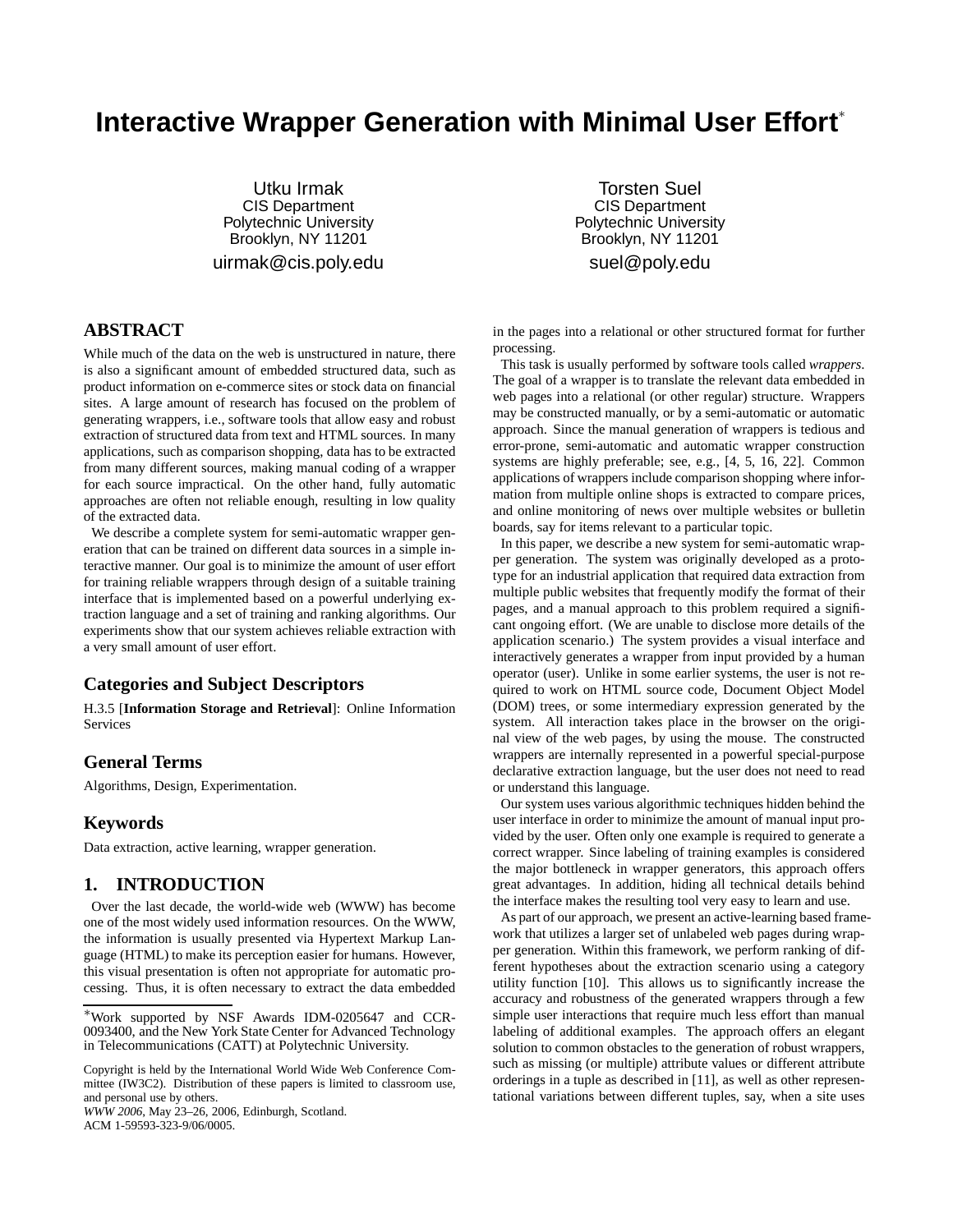# **Interactive Wrapper Generation with Minimal User Effort**<sup>∗</sup>

Utku Irmak CIS Department Polytechnic University Brooklyn, NY 11201 uirmak@cis.poly.edu

Torsten Suel CIS Department Polytechnic University Brooklyn, NY 11201 suel@poly.edu

# **ABSTRACT**

While much of the data on the web is unstructured in nature, there is also a significant amount of embedded structured data, such as product information on e-commerce sites or stock data on financial sites. A large amount of research has focused on the problem of generating wrappers, i.e., software tools that allow easy and robust extraction of structured data from text and HTML sources. In many applications, such as comparison shopping, data has to be extracted from many different sources, making manual coding of a wrapper for each source impractical. On the other hand, fully automatic approaches are often not reliable enough, resulting in low quality of the extracted data.

We describe a complete system for semi-automatic wrapper generation that can be trained on different data sources in a simple interactive manner. Our goal is to minimize the amount of user effort for training reliable wrappers through design of a suitable training interface that is implemented based on a powerful underlying extraction language and a set of training and ranking algorithms. Our experiments show that our system achieves reliable extraction with a very small amount of user effort.

## **Categories and Subject Descriptors**

H.3.5 [**Information Storage and Retrieval**]: Online Information Services

# **General Terms**

Algorithms, Design, Experimentation.

#### **Keywords**

Data extraction, active learning, wrapper generation.

## **1. INTRODUCTION**

Over the last decade, the world-wide web (WWW) has become one of the most widely used information resources. On the WWW, the information is usually presented via Hypertext Markup Language (HTML) to make its perception easier for humans. However, this visual presentation is often not appropriate for automatic processing. Thus, it is often necessary to extract the data embedded

*WWW 2006*, May 23–26, 2006, Edinburgh, Scotland. ACM 1-59593-323-9/06/0005.

in the pages into a relational or other structured format for further processing.

This task is usually performed by software tools called *wrappers*. The goal of a wrapper is to translate the relevant data embedded in web pages into a relational (or other regular) structure. Wrappers may be constructed manually, or by a semi-automatic or automatic approach. Since the manual generation of wrappers is tedious and error-prone, semi-automatic and automatic wrapper construction systems are highly preferable; see, e.g., [4, 5, 16, 22]. Common applications of wrappers include comparison shopping where information from multiple online shops is extracted to compare prices, and online monitoring of news over multiple websites or bulletin boards, say for items relevant to a particular topic.

In this paper, we describe a new system for semi-automatic wrapper generation. The system was originally developed as a prototype for an industrial application that required data extraction from multiple public websites that frequently modify the format of their pages, and a manual approach to this problem required a significant ongoing effort. (We are unable to disclose more details of the application scenario.) The system provides a visual interface and interactively generates a wrapper from input provided by a human operator (user). Unlike in some earlier systems, the user is not required to work on HTML source code, Document Object Model (DOM) trees, or some intermediary expression generated by the system. All interaction takes place in the browser on the original view of the web pages, by using the mouse. The constructed wrappers are internally represented in a powerful special-purpose declarative extraction language, but the user does not need to read or understand this language.

Our system uses various algorithmic techniques hidden behind the user interface in order to minimize the amount of manual input provided by the user. Often only one example is required to generate a correct wrapper. Since labeling of training examples is considered the major bottleneck in wrapper generators, this approach offers great advantages. In addition, hiding all technical details behind the interface makes the resulting tool very easy to learn and use.

As part of our approach, we present an active-learning based framework that utilizes a larger set of unlabeled web pages during wrapper generation. Within this framework, we perform ranking of different hypotheses about the extraction scenario using a category utility function [10]. This allows us to significantly increase the accuracy and robustness of the generated wrappers through a few simple user interactions that require much less effort than manual labeling of additional examples. The approach offers an elegant solution to common obstacles to the generation of robust wrappers, such as missing (or multiple) attribute values or different attribute orderings in a tuple as described in [11], as well as other representational variations between different tuples, say, when a site uses

<sup>∗</sup>Work supported by NSF Awards IDM-0205647 and CCR-0093400, and the New York State Center for Advanced Technology in Telecommunications (CATT) at Polytechnic University.

Copyright is held by the International World Wide Web Conference Committee (IW3C2). Distribution of these papers is limited to classroom use, and personal use by others.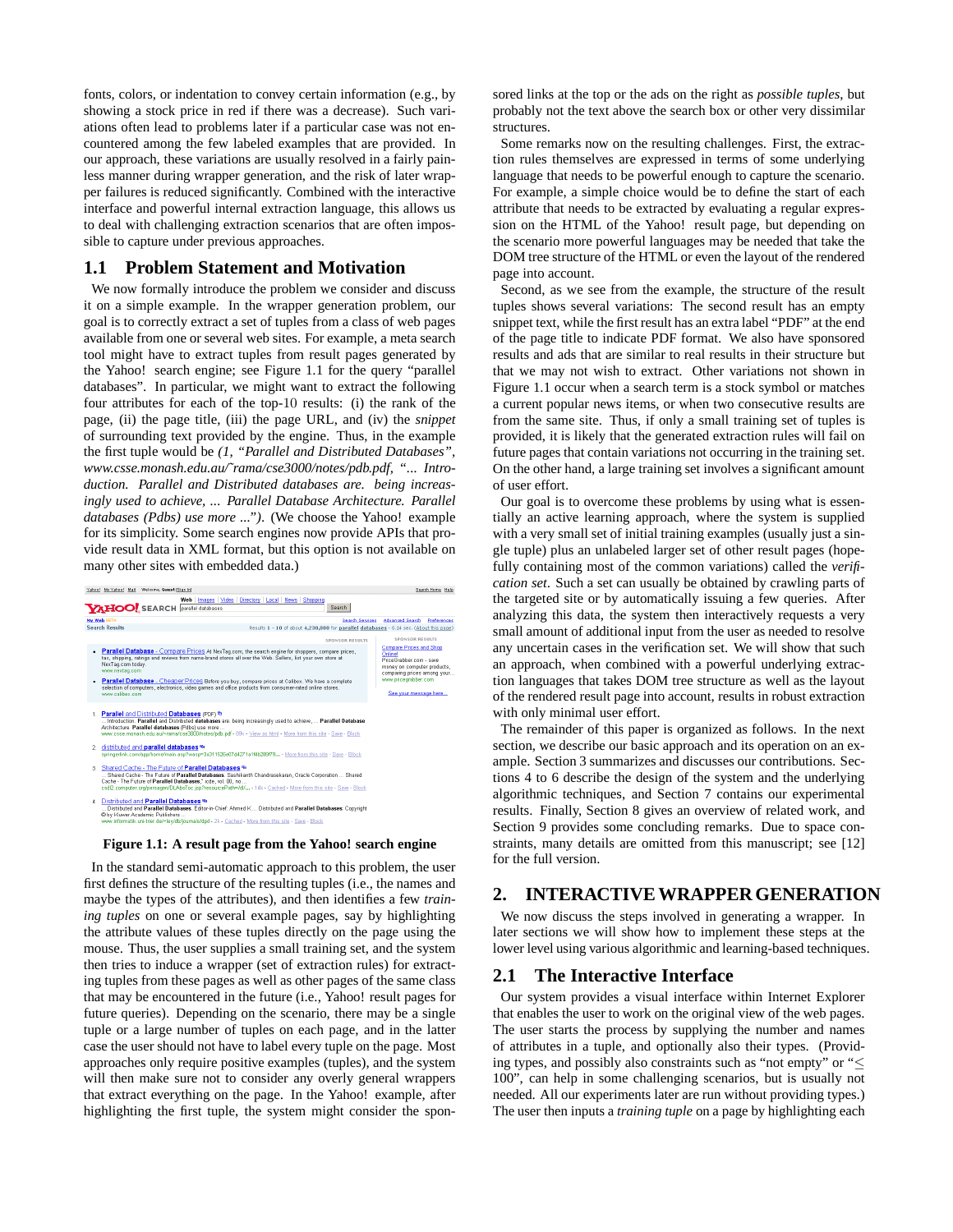fonts, colors, or indentation to convey certain information (e.g., by showing a stock price in red if there was a decrease). Such variations often lead to problems later if a particular case was not encountered among the few labeled examples that are provided. In our approach, these variations are usually resolved in a fairly painless manner during wrapper generation, and the risk of later wrapper failures is reduced significantly. Combined with the interactive interface and powerful internal extraction language, this allows us to deal with challenging extraction scenarios that are often impossible to capture under previous approaches.

## **1.1 Problem Statement and Motivation**

We now formally introduce the problem we consider and discuss it on a simple example. In the wrapper generation problem, our goal is to correctly extract a set of tuples from a class of web pages available from one or several web sites. For example, a meta search tool might have to extract tuples from result pages generated by the Yahoo! search engine; see Figure 1.1 for the query "parallel databases". In particular, we might want to extract the following four attributes for each of the top-10 results: (i) the rank of the page, (ii) the page title, (iii) the page URL, and (iv) the *snippet* of surrounding text provided by the engine. Thus, in the example the first tuple would be *(1, "Parallel and Distributed Databases", www.csse.monash.edu.au/˜rama/cse3000/notes/pdb.pdf, "... Introduction. Parallel and Distributed databases are. being increasingly used to achieve, ... Parallel Database Architecture. Parallel databases (Pdbs) use more ...")*. (We choose the Yahoo! example for its simplicity. Some search engines now provide APIs that provide result data in XML format, but this option is not available on many other sites with embedded data.)



**Figure 1.1: A result page from the Yahoo! search engine**

In the standard semi-automatic approach to this problem, the user first defines the structure of the resulting tuples (i.e., the names and maybe the types of the attributes), and then identifies a few *training tuples* on one or several example pages, say by highlighting the attribute values of these tuples directly on the page using the mouse. Thus, the user supplies a small training set, and the system then tries to induce a wrapper (set of extraction rules) for extracting tuples from these pages as well as other pages of the same class that may be encountered in the future (i.e., Yahoo! result pages for future queries). Depending on the scenario, there may be a single tuple or a large number of tuples on each page, and in the latter case the user should not have to label every tuple on the page. Most approaches only require positive examples (tuples), and the system will then make sure not to consider any overly general wrappers that extract everything on the page. In the Yahoo! example, after highlighting the first tuple, the system might consider the sponsored links at the top or the ads on the right as *possible tuples*, but probably not the text above the search box or other very dissimilar structures.

Some remarks now on the resulting challenges. First, the extraction rules themselves are expressed in terms of some underlying language that needs to be powerful enough to capture the scenario. For example, a simple choice would be to define the start of each attribute that needs to be extracted by evaluating a regular expression on the HTML of the Yahoo! result page, but depending on the scenario more powerful languages may be needed that take the DOM tree structure of the HTML or even the layout of the rendered page into account.

Second, as we see from the example, the structure of the result tuples shows several variations: The second result has an empty snippet text, while the first result has an extra label "PDF" at the end of the page title to indicate PDF format. We also have sponsored results and ads that are similar to real results in their structure but that we may not wish to extract. Other variations not shown in Figure 1.1 occur when a search term is a stock symbol or matches a current popular news items, or when two consecutive results are from the same site. Thus, if only a small training set of tuples is provided, it is likely that the generated extraction rules will fail on future pages that contain variations not occurring in the training set. On the other hand, a large training set involves a significant amount of user effort.

Our goal is to overcome these problems by using what is essentially an active learning approach, where the system is supplied with a very small set of initial training examples (usually just a single tuple) plus an unlabeled larger set of other result pages (hopefully containing most of the common variations) called the *verification set*. Such a set can usually be obtained by crawling parts of the targeted site or by automatically issuing a few queries. After analyzing this data, the system then interactively requests a very small amount of additional input from the user as needed to resolve any uncertain cases in the verification set. We will show that such an approach, when combined with a powerful underlying extraction languages that takes DOM tree structure as well as the layout of the rendered result page into account, results in robust extraction with only minimal user effort.

The remainder of this paper is organized as follows. In the next section, we describe our basic approach and its operation on an example. Section 3 summarizes and discusses our contributions. Sections 4 to 6 describe the design of the system and the underlying algorithmic techniques, and Section 7 contains our experimental results. Finally, Section 8 gives an overview of related work, and Section 9 provides some concluding remarks. Due to space constraints, many details are omitted from this manuscript; see [12] for the full version.

# **2. INTERACTIVE WRAPPER GENERATION**

We now discuss the steps involved in generating a wrapper. In later sections we will show how to implement these steps at the lower level using various algorithmic and learning-based techniques.

## **2.1 The Interactive Interface**

Our system provides a visual interface within Internet Explorer that enables the user to work on the original view of the web pages. The user starts the process by supplying the number and names of attributes in a tuple, and optionally also their types. (Providing types, and possibly also constraints such as "not empty" or "≤ 100", can help in some challenging scenarios, but is usually not needed. All our experiments later are run without providing types.) The user then inputs a *training tuple* on a page by highlighting each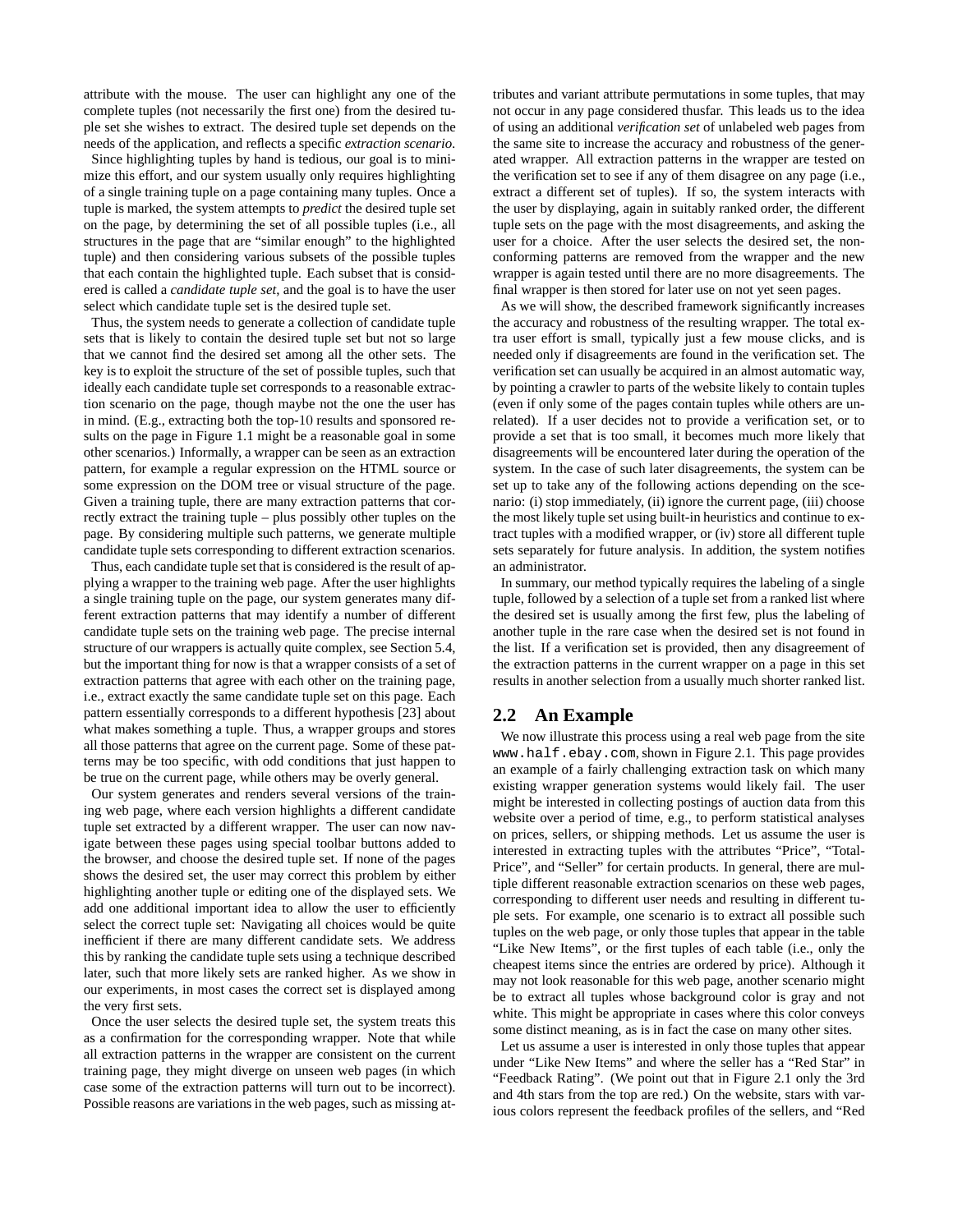attribute with the mouse. The user can highlight any one of the complete tuples (not necessarily the first one) from the desired tuple set she wishes to extract. The desired tuple set depends on the needs of the application, and reflects a specific *extraction scenario*.

Since highlighting tuples by hand is tedious, our goal is to minimize this effort, and our system usually only requires highlighting of a single training tuple on a page containing many tuples. Once a tuple is marked, the system attempts to *predict* the desired tuple set on the page, by determining the set of all possible tuples (i.e., all structures in the page that are "similar enough" to the highlighted tuple) and then considering various subsets of the possible tuples that each contain the highlighted tuple. Each subset that is considered is called a *candidate tuple set*, and the goal is to have the user select which candidate tuple set is the desired tuple set.

Thus, the system needs to generate a collection of candidate tuple sets that is likely to contain the desired tuple set but not so large that we cannot find the desired set among all the other sets. The key is to exploit the structure of the set of possible tuples, such that ideally each candidate tuple set corresponds to a reasonable extraction scenario on the page, though maybe not the one the user has in mind. (E.g., extracting both the top-10 results and sponsored results on the page in Figure 1.1 might be a reasonable goal in some other scenarios.) Informally, a wrapper can be seen as an extraction pattern, for example a regular expression on the HTML source or some expression on the DOM tree or visual structure of the page. Given a training tuple, there are many extraction patterns that correctly extract the training tuple – plus possibly other tuples on the page. By considering multiple such patterns, we generate multiple candidate tuple sets corresponding to different extraction scenarios.

Thus, each candidate tuple set that is considered is the result of applying a wrapper to the training web page. After the user highlights a single training tuple on the page, our system generates many different extraction patterns that may identify a number of different candidate tuple sets on the training web page. The precise internal structure of our wrappers is actually quite complex, see Section 5.4, but the important thing for now is that a wrapper consists of a set of extraction patterns that agree with each other on the training page, i.e., extract exactly the same candidate tuple set on this page. Each pattern essentially corresponds to a different hypothesis [23] about what makes something a tuple. Thus, a wrapper groups and stores all those patterns that agree on the current page. Some of these patterns may be too specific, with odd conditions that just happen to be true on the current page, while others may be overly general.

Our system generates and renders several versions of the training web page, where each version highlights a different candidate tuple set extracted by a different wrapper. The user can now navigate between these pages using special toolbar buttons added to the browser, and choose the desired tuple set. If none of the pages shows the desired set, the user may correct this problem by either highlighting another tuple or editing one of the displayed sets. We add one additional important idea to allow the user to efficiently select the correct tuple set: Navigating all choices would be quite inefficient if there are many different candidate sets. We address this by ranking the candidate tuple sets using a technique described later, such that more likely sets are ranked higher. As we show in our experiments, in most cases the correct set is displayed among the very first sets.

Once the user selects the desired tuple set, the system treats this as a confirmation for the corresponding wrapper. Note that while all extraction patterns in the wrapper are consistent on the current training page, they might diverge on unseen web pages (in which case some of the extraction patterns will turn out to be incorrect). Possible reasons are variations in the web pages, such as missing attributes and variant attribute permutations in some tuples, that may not occur in any page considered thusfar. This leads us to the idea of using an additional *verification set* of unlabeled web pages from the same site to increase the accuracy and robustness of the generated wrapper. All extraction patterns in the wrapper are tested on the verification set to see if any of them disagree on any page (i.e., extract a different set of tuples). If so, the system interacts with the user by displaying, again in suitably ranked order, the different tuple sets on the page with the most disagreements, and asking the user for a choice. After the user selects the desired set, the nonconforming patterns are removed from the wrapper and the new wrapper is again tested until there are no more disagreements. The final wrapper is then stored for later use on not yet seen pages.

As we will show, the described framework significantly increases the accuracy and robustness of the resulting wrapper. The total extra user effort is small, typically just a few mouse clicks, and is needed only if disagreements are found in the verification set. The verification set can usually be acquired in an almost automatic way, by pointing a crawler to parts of the website likely to contain tuples (even if only some of the pages contain tuples while others are unrelated). If a user decides not to provide a verification set, or to provide a set that is too small, it becomes much more likely that disagreements will be encountered later during the operation of the system. In the case of such later disagreements, the system can be set up to take any of the following actions depending on the scenario: (i) stop immediately, (ii) ignore the current page, (iii) choose the most likely tuple set using built-in heuristics and continue to extract tuples with a modified wrapper, or (iv) store all different tuple sets separately for future analysis. In addition, the system notifies an administrator.

In summary, our method typically requires the labeling of a single tuple, followed by a selection of a tuple set from a ranked list where the desired set is usually among the first few, plus the labeling of another tuple in the rare case when the desired set is not found in the list. If a verification set is provided, then any disagreement of the extraction patterns in the current wrapper on a page in this set results in another selection from a usually much shorter ranked list.

## **2.2 An Example**

We now illustrate this process using a real web page from the site www.half.ebay.com, shown in Figure 2.1. This page provides an example of a fairly challenging extraction task on which many existing wrapper generation systems would likely fail. The user might be interested in collecting postings of auction data from this website over a period of time, e.g., to perform statistical analyses on prices, sellers, or shipping methods. Let us assume the user is interested in extracting tuples with the attributes "Price", "Total-Price", and "Seller" for certain products. In general, there are multiple different reasonable extraction scenarios on these web pages, corresponding to different user needs and resulting in different tuple sets. For example, one scenario is to extract all possible such tuples on the web page, or only those tuples that appear in the table "Like New Items", or the first tuples of each table (i.e., only the cheapest items since the entries are ordered by price). Although it may not look reasonable for this web page, another scenario might be to extract all tuples whose background color is gray and not white. This might be appropriate in cases where this color conveys some distinct meaning, as is in fact the case on many other sites.

Let us assume a user is interested in only those tuples that appear under "Like New Items" and where the seller has a "Red Star" in "Feedback Rating". (We point out that in Figure 2.1 only the 3rd and 4th stars from the top are red.) On the website, stars with various colors represent the feedback profiles of the sellers, and "Red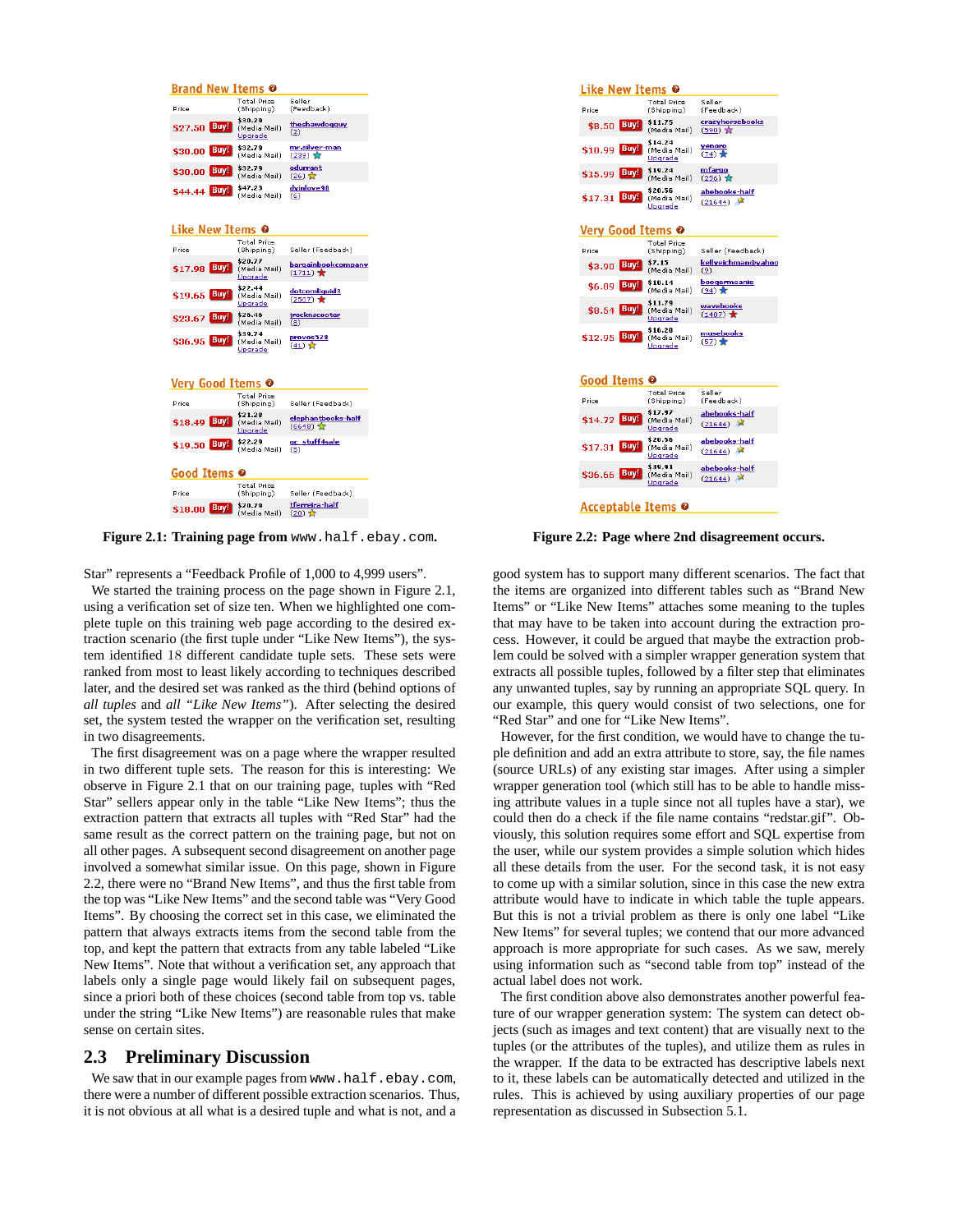| <b>Brand New Items O</b> |                                    |                                               |  |  |  |  |  |
|--------------------------|------------------------------------|-----------------------------------------------|--|--|--|--|--|
| Price                    | <b>Total Price</b><br>(Shipping)   | Seller<br>(Feedback)                          |  |  |  |  |  |
| \$27.50 Buy!             | \$30.29<br>(Media Mail)<br>Uparade | theshawdogguy<br>(2)                          |  |  |  |  |  |
| Buy!<br>\$30.00          | \$32.79<br>(Media Mail)            | mr.silver-man<br>(239) 요                      |  |  |  |  |  |
| \$30.00 Buy!             | \$32.79<br>(Media Mail)            | odurrant<br>$(26)$ $\frac{1}{33}$             |  |  |  |  |  |
| \$44.44 Buy!             | \$47.23<br>(Media Mail)            | dyinlove98<br>(6)                             |  |  |  |  |  |
| Like New Items @         |                                    |                                               |  |  |  |  |  |
| Price                    | <b>Total Price</b><br>(Shipping)   | Seller (Feedback)                             |  |  |  |  |  |
| \$17.98 Buy!             | \$20.77<br>(Media Mail)<br>Upgrade | bargainbookcompany<br>$(1711)$ $\star$        |  |  |  |  |  |
| \$19.65 Buy!             | \$22.44<br>(Media Mail)<br>Upgrade | dotcomliquid3<br>$(2507)$ $\star$             |  |  |  |  |  |
| \$23.67 Buy!             | \$26.46<br>(Media Mail)            | jrocknscooter<br>(8)                          |  |  |  |  |  |
| \$36.95 Buy!             | \$39.74<br>(Media Mail)<br>Upgrade | provos528<br>$(41)$ $\frac{1}{27}$            |  |  |  |  |  |
| Verv Good Items ©        |                                    |                                               |  |  |  |  |  |
| Price                    | <b>Total Price</b><br>(Shipping)   | Seller (Feedback)                             |  |  |  |  |  |
| \$18.49 Buy!             | \$21.28<br>(Media Mail)<br>Upgrade | elephantbooks-half<br>$(6648)$ $\frac{1}{26}$ |  |  |  |  |  |
| \$19.50 Buy!             | \$22.29<br>(Media Mail)            | oc stuff4sale<br>(5)                          |  |  |  |  |  |
| <b>Good Items @</b>      |                                    |                                               |  |  |  |  |  |
| Price                    | <b>Total Price</b><br>(Shipping)   | Seller (Feedback)                             |  |  |  |  |  |
| \$18.00 Buy!             | \$20.79<br>(Media Mail)            | tferreira-half<br>$(20) \frac{1}{24}$         |  |  |  |  |  |
|                          |                                    |                                               |  |  |  |  |  |

**Figure 2.1: Training page from** www.half.ebay.com**.**

Star" represents a "Feedback Profile of 1,000 to 4,999 users".

We started the training process on the page shown in Figure 2.1, using a verification set of size ten. When we highlighted one complete tuple on this training web page according to the desired extraction scenario (the first tuple under "Like New Items"), the system identified 18 different candidate tuple sets. These sets were ranked from most to least likely according to techniques described later, and the desired set was ranked as the third (behind options of *all tuples* and *all "Like New Items"*). After selecting the desired set, the system tested the wrapper on the verification set, resulting in two disagreements.

The first disagreement was on a page where the wrapper resulted in two different tuple sets. The reason for this is interesting: We observe in Figure 2.1 that on our training page, tuples with "Red Star" sellers appear only in the table "Like New Items"; thus the extraction pattern that extracts all tuples with "Red Star" had the same result as the correct pattern on the training page, but not on all other pages. A subsequent second disagreement on another page involved a somewhat similar issue. On this page, shown in Figure 2.2, there were no "Brand New Items", and thus the first table from the top was "Like New Items" and the second table was "Very Good Items". By choosing the correct set in this case, we eliminated the pattern that always extracts items from the second table from the top, and kept the pattern that extracts from any table labeled "Like New Items". Note that without a verification set, any approach that labels only a single page would likely fail on subsequent pages, since a priori both of these choices (second table from top vs. table under the string "Like New Items") are reasonable rules that make sense on certain sites.

#### **2.3 Preliminary Discussion**

We saw that in our example pages from www.half.ebay.com, there were a number of different possible extraction scenarios. Thus, it is not obvious at all what is a desired tuple and what is not, and a



**Figure 2.2: Page where 2nd disagreement occurs.**

good system has to support many different scenarios. The fact that the items are organized into different tables such as "Brand New Items" or "Like New Items" attaches some meaning to the tuples that may have to be taken into account during the extraction process. However, it could be argued that maybe the extraction problem could be solved with a simpler wrapper generation system that extracts all possible tuples, followed by a filter step that eliminates any unwanted tuples, say by running an appropriate SQL query. In our example, this query would consist of two selections, one for "Red Star" and one for "Like New Items".

However, for the first condition, we would have to change the tuple definition and add an extra attribute to store, say, the file names (source URLs) of any existing star images. After using a simpler wrapper generation tool (which still has to be able to handle missing attribute values in a tuple since not all tuples have a star), we could then do a check if the file name contains "redstar.gif". Obviously, this solution requires some effort and SQL expertise from the user, while our system provides a simple solution which hides all these details from the user. For the second task, it is not easy to come up with a similar solution, since in this case the new extra attribute would have to indicate in which table the tuple appears. But this is not a trivial problem as there is only one label "Like New Items" for several tuples; we contend that our more advanced approach is more appropriate for such cases. As we saw, merely using information such as "second table from top" instead of the actual label does not work.

The first condition above also demonstrates another powerful feature of our wrapper generation system: The system can detect objects (such as images and text content) that are visually next to the tuples (or the attributes of the tuples), and utilize them as rules in the wrapper. If the data to be extracted has descriptive labels next to it, these labels can be automatically detected and utilized in the rules. This is achieved by using auxiliary properties of our page representation as discussed in Subsection 5.1.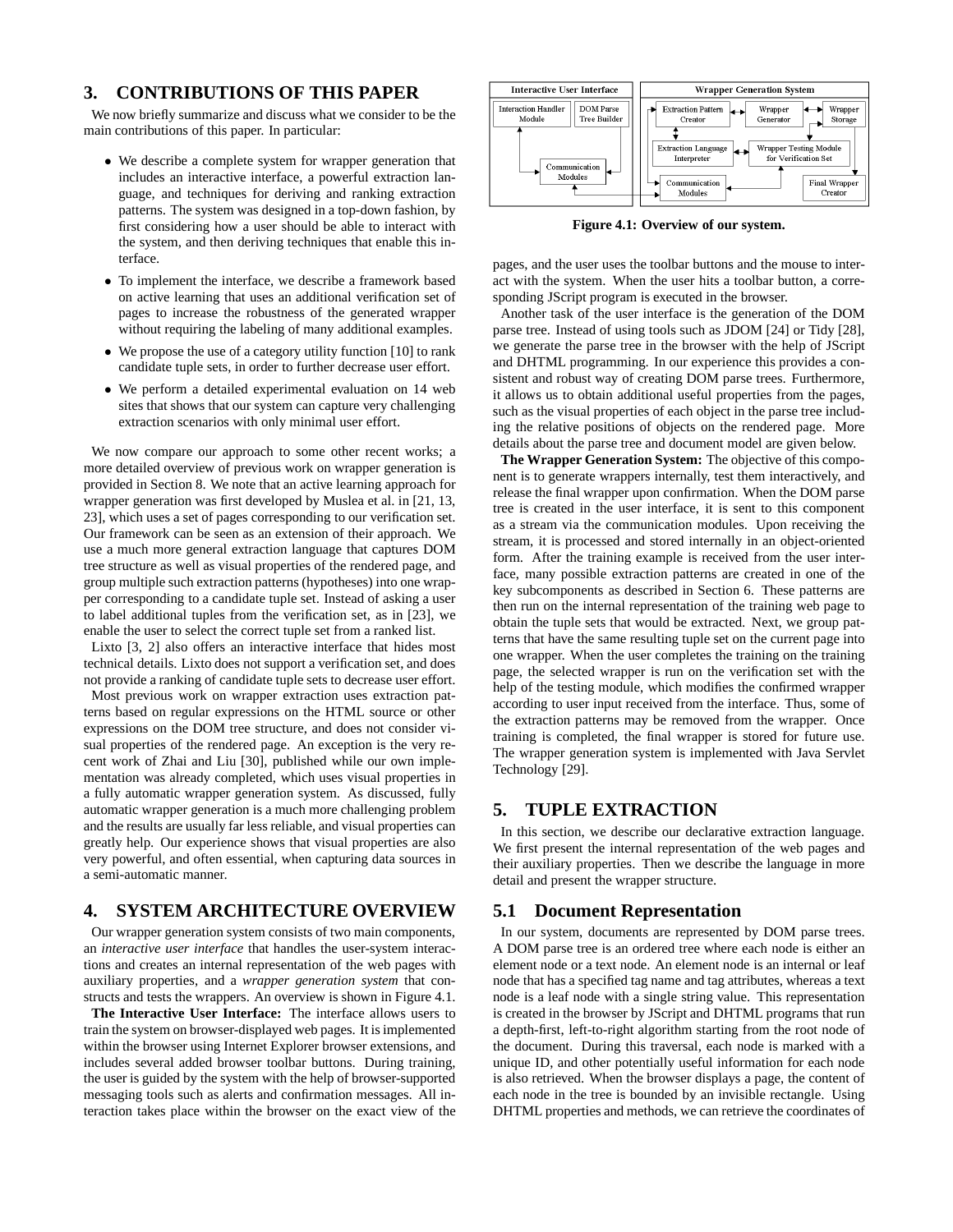## **3. CONTRIBUTIONS OF THIS PAPER**

We now briefly summarize and discuss what we consider to be the main contributions of this paper. In particular:

- We describe a complete system for wrapper generation that includes an interactive interface, a powerful extraction language, and techniques for deriving and ranking extraction patterns. The system was designed in a top-down fashion, by first considering how a user should be able to interact with the system, and then deriving techniques that enable this interface.
- To implement the interface, we describe a framework based on active learning that uses an additional verification set of pages to increase the robustness of the generated wrapper without requiring the labeling of many additional examples.
- We propose the use of a category utility function [10] to rank candidate tuple sets, in order to further decrease user effort.
- We perform a detailed experimental evaluation on 14 web sites that shows that our system can capture very challenging extraction scenarios with only minimal user effort.

We now compare our approach to some other recent works; a more detailed overview of previous work on wrapper generation is provided in Section 8. We note that an active learning approach for wrapper generation was first developed by Muslea et al. in [21, 13, 23], which uses a set of pages corresponding to our verification set. Our framework can be seen as an extension of their approach. We use a much more general extraction language that captures DOM tree structure as well as visual properties of the rendered page, and group multiple such extraction patterns (hypotheses) into one wrapper corresponding to a candidate tuple set. Instead of asking a user to label additional tuples from the verification set, as in [23], we enable the user to select the correct tuple set from a ranked list.

Lixto [3, 2] also offers an interactive interface that hides most technical details. Lixto does not support a verification set, and does not provide a ranking of candidate tuple sets to decrease user effort.

Most previous work on wrapper extraction uses extraction patterns based on regular expressions on the HTML source or other expressions on the DOM tree structure, and does not consider visual properties of the rendered page. An exception is the very recent work of Zhai and Liu [30], published while our own implementation was already completed, which uses visual properties in a fully automatic wrapper generation system. As discussed, fully automatic wrapper generation is a much more challenging problem and the results are usually far less reliable, and visual properties can greatly help. Our experience shows that visual properties are also very powerful, and often essential, when capturing data sources in a semi-automatic manner.

# **4. SYSTEM ARCHITECTURE OVERVIEW**

Our wrapper generation system consists of two main components, an *interactive user interface* that handles the user-system interactions and creates an internal representation of the web pages with auxiliary properties, and a *wrapper generation system* that constructs and tests the wrappers. An overview is shown in Figure 4.1.

**The Interactive User Interface:** The interface allows users to train the system on browser-displayed web pages. It is implemented within the browser using Internet Explorer browser extensions, and includes several added browser toolbar buttons. During training, the user is guided by the system with the help of browser-supported messaging tools such as alerts and confirmation messages. All interaction takes place within the browser on the exact view of the



**Figure 4.1: Overview of our system.**

pages, and the user uses the toolbar buttons and the mouse to interact with the system. When the user hits a toolbar button, a corresponding JScript program is executed in the browser.

Another task of the user interface is the generation of the DOM parse tree. Instead of using tools such as JDOM [24] or Tidy [28], we generate the parse tree in the browser with the help of JScript and DHTML programming. In our experience this provides a consistent and robust way of creating DOM parse trees. Furthermore, it allows us to obtain additional useful properties from the pages, such as the visual properties of each object in the parse tree including the relative positions of objects on the rendered page. More details about the parse tree and document model are given below.

**The Wrapper Generation System:** The objective of this component is to generate wrappers internally, test them interactively, and release the final wrapper upon confirmation. When the DOM parse tree is created in the user interface, it is sent to this component as a stream via the communication modules. Upon receiving the stream, it is processed and stored internally in an object-oriented form. After the training example is received from the user interface, many possible extraction patterns are created in one of the key subcomponents as described in Section 6. These patterns are then run on the internal representation of the training web page to obtain the tuple sets that would be extracted. Next, we group patterns that have the same resulting tuple set on the current page into one wrapper. When the user completes the training on the training page, the selected wrapper is run on the verification set with the help of the testing module, which modifies the confirmed wrapper according to user input received from the interface. Thus, some of the extraction patterns may be removed from the wrapper. Once training is completed, the final wrapper is stored for future use. The wrapper generation system is implemented with Java Servlet Technology [29].

#### **5. TUPLE EXTRACTION**

In this section, we describe our declarative extraction language. We first present the internal representation of the web pages and their auxiliary properties. Then we describe the language in more detail and present the wrapper structure.

#### **5.1 Document Representation**

In our system, documents are represented by DOM parse trees. A DOM parse tree is an ordered tree where each node is either an element node or a text node. An element node is an internal or leaf node that has a specified tag name and tag attributes, whereas a text node is a leaf node with a single string value. This representation is created in the browser by JScript and DHTML programs that run a depth-first, left-to-right algorithm starting from the root node of the document. During this traversal, each node is marked with a unique ID, and other potentially useful information for each node is also retrieved. When the browser displays a page, the content of each node in the tree is bounded by an invisible rectangle. Using DHTML properties and methods, we can retrieve the coordinates of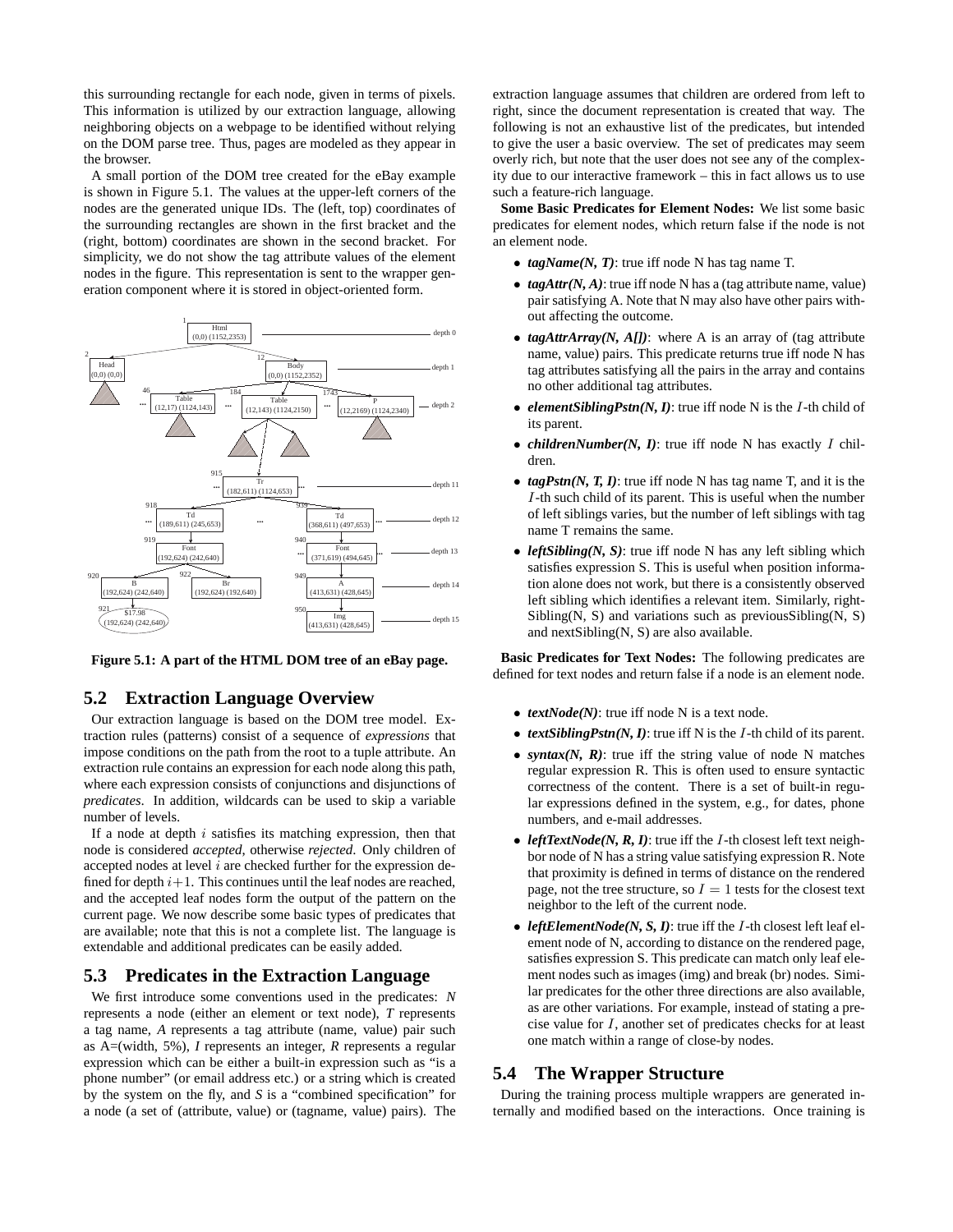this surrounding rectangle for each node, given in terms of pixels. This information is utilized by our extraction language, allowing neighboring objects on a webpage to be identified without relying on the DOM parse tree. Thus, pages are modeled as they appear in the browser.

A small portion of the DOM tree created for the eBay example is shown in Figure 5.1. The values at the upper-left corners of the nodes are the generated unique IDs. The (left, top) coordinates of the surrounding rectangles are shown in the first bracket and the (right, bottom) coordinates are shown in the second bracket. For simplicity, we do not show the tag attribute values of the element nodes in the figure. This representation is sent to the wrapper generation component where it is stored in object-oriented form.



**Figure 5.1: A part of the HTML DOM tree of an eBay page.**

### **5.2 Extraction Language Overview**

Our extraction language is based on the DOM tree model. Extraction rules (patterns) consist of a sequence of *expressions* that impose conditions on the path from the root to a tuple attribute. An extraction rule contains an expression for each node along this path, where each expression consists of conjunctions and disjunctions of *predicates*. In addition, wildcards can be used to skip a variable number of levels.

If a node at depth  $i$  satisfies its matching expression, then that node is considered *accepted*, otherwise *rejected*. Only children of accepted nodes at level  $i$  are checked further for the expression defined for depth  $i+1$ . This continues until the leaf nodes are reached, and the accepted leaf nodes form the output of the pattern on the current page. We now describe some basic types of predicates that are available; note that this is not a complete list. The language is extendable and additional predicates can be easily added.

#### **5.3 Predicates in the Extraction Language**

We first introduce some conventions used in the predicates: *N* represents a node (either an element or text node), *T* represents a tag name, *A* represents a tag attribute (name, value) pair such as A=(width, 5%), *I* represents an integer, *R* represents a regular expression which can be either a built-in expression such as "is a phone number" (or email address etc.) or a string which is created by the system on the fly, and *S* is a "combined specification" for a node (a set of (attribute, value) or (tagname, value) pairs). The extraction language assumes that children are ordered from left to right, since the document representation is created that way. The following is not an exhaustive list of the predicates, but intended to give the user a basic overview. The set of predicates may seem overly rich, but note that the user does not see any of the complexity due to our interactive framework – this in fact allows us to use such a feature-rich language.

**Some Basic Predicates for Element Nodes:** We list some basic predicates for element nodes, which return false if the node is not an element node.

- *tagName(N, T)*: true iff node N has tag name T.
- *tagAttr(N, A)*: true iff node N has a (tag attribute name, value) pair satisfying A. Note that N may also have other pairs without affecting the outcome.
- *tagAttrArray(N, A[])*: where A is an array of (tag attribute name, value) pairs. This predicate returns true iff node N has tag attributes satisfying all the pairs in the array and contains no other additional tag attributes.
- *elementSiblingPstn(N, I)*: true iff node N is the *I*-th child of its parent.
- *childrenNumber(N, I)*: true iff node N has exactly  $I$  children.
- *tagPstn(N, T, I)*: true iff node N has tag name T, and it is the I-th such child of its parent. This is useful when the number of left siblings varies, but the number of left siblings with tag name T remains the same.
- *leftSibling(N, S)*: true iff node N has any left sibling which satisfies expression S. This is useful when position information alone does not work, but there is a consistently observed left sibling which identifies a relevant item. Similarly, right- $Sibling(N, S)$  and variations such as previous $Sibling(N, S)$ and nextSibling(N, S) are also available.

**Basic Predicates for Text Nodes:** The following predicates are defined for text nodes and return false if a node is an element node.

- $textNode(N)$ : true iff node N is a text node.
- *textSiblingPstn(N, I)*: true iff N is the I-th child of its parent.
- *syntax(N, R)*: true iff the string value of node N matches regular expression R. This is often used to ensure syntactic correctness of the content. There is a set of built-in regular expressions defined in the system, e.g., for dates, phone numbers, and e-mail addresses.
- *leftTextNode(N, R, I)*: true iff the *I*-th closest left text neighbor node of N has a string value satisfying expression R. Note that proximity is defined in terms of distance on the rendered page, not the tree structure, so  $I = 1$  tests for the closest text neighbor to the left of the current node.
- *leftElementNode(N, S, I)*: true iff the *I*-th closest left leaf element node of N, according to distance on the rendered page, satisfies expression S. This predicate can match only leaf element nodes such as images (img) and break (br) nodes. Similar predicates for the other three directions are also available, as are other variations. For example, instead of stating a precise value for I, another set of predicates checks for at least one match within a range of close-by nodes.

#### **5.4 The Wrapper Structure**

During the training process multiple wrappers are generated internally and modified based on the interactions. Once training is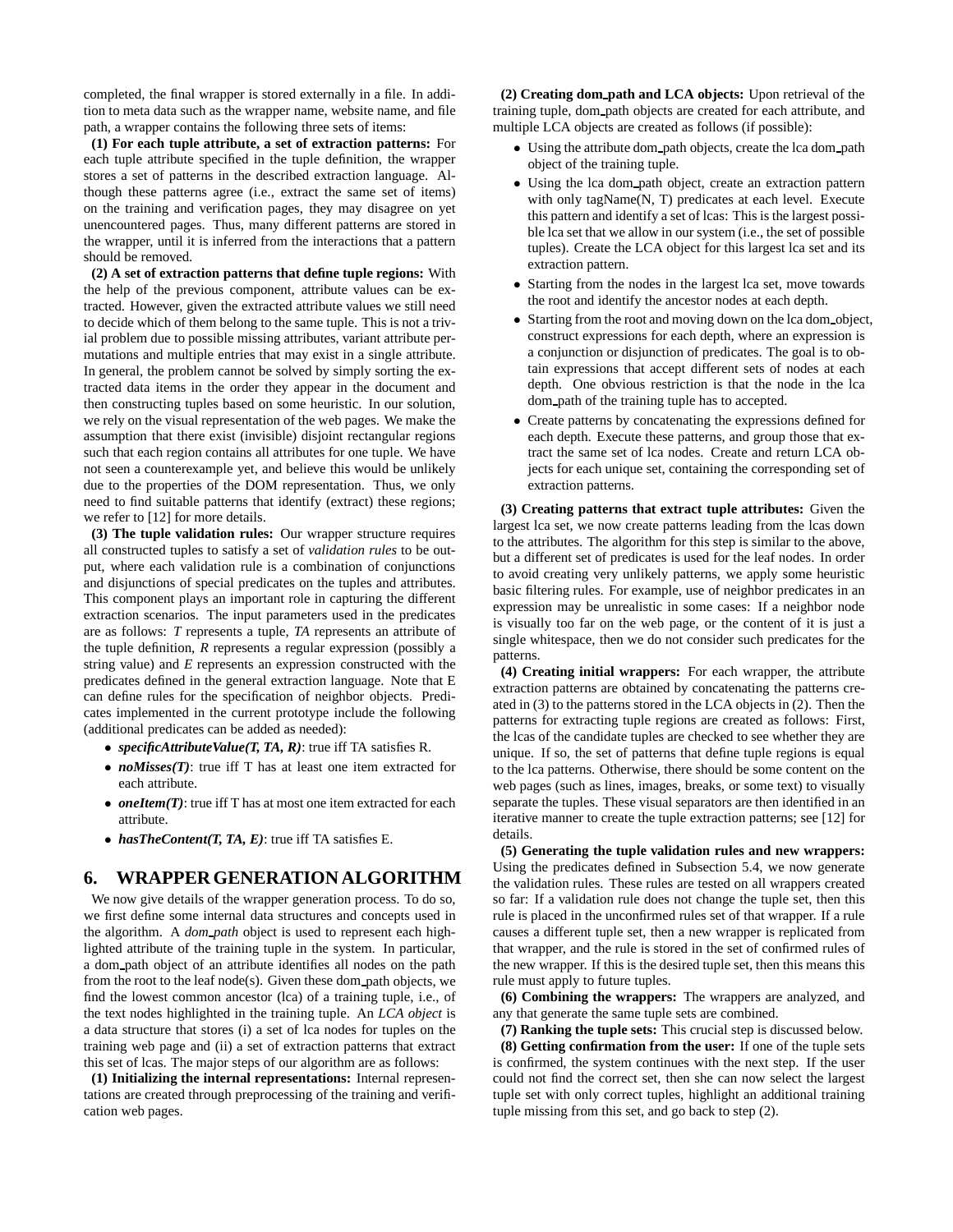completed, the final wrapper is stored externally in a file. In addition to meta data such as the wrapper name, website name, and file path, a wrapper contains the following three sets of items:

**(1) For each tuple attribute, a set of extraction patterns:** For each tuple attribute specified in the tuple definition, the wrapper stores a set of patterns in the described extraction language. Although these patterns agree (i.e., extract the same set of items) on the training and verification pages, they may disagree on yet unencountered pages. Thus, many different patterns are stored in the wrapper, until it is inferred from the interactions that a pattern should be removed.

**(2) A set of extraction patterns that define tuple regions:** With the help of the previous component, attribute values can be extracted. However, given the extracted attribute values we still need to decide which of them belong to the same tuple. This is not a trivial problem due to possible missing attributes, variant attribute permutations and multiple entries that may exist in a single attribute. In general, the problem cannot be solved by simply sorting the extracted data items in the order they appear in the document and then constructing tuples based on some heuristic. In our solution, we rely on the visual representation of the web pages. We make the assumption that there exist (invisible) disjoint rectangular regions such that each region contains all attributes for one tuple. We have not seen a counterexample yet, and believe this would be unlikely due to the properties of the DOM representation. Thus, we only need to find suitable patterns that identify (extract) these regions; we refer to [12] for more details.

**(3) The tuple validation rules:** Our wrapper structure requires all constructed tuples to satisfy a set of *validation rules* to be output, where each validation rule is a combination of conjunctions and disjunctions of special predicates on the tuples and attributes. This component plays an important role in capturing the different extraction scenarios. The input parameters used in the predicates are as follows: *T* represents a tuple, *TA* represents an attribute of the tuple definition, *R* represents a regular expression (possibly a string value) and *E* represents an expression constructed with the predicates defined in the general extraction language. Note that E can define rules for the specification of neighbor objects. Predicates implemented in the current prototype include the following (additional predicates can be added as needed):

- *specificAttributeValue(T, TA, R)*: true iff TA satisfies R.
- *noMisses(T)*: true iff T has at least one item extracted for each attribute.
- *oneItem(T)*: true iff T has at most one item extracted for each attribute.
- *hasTheContent(T, TA, E)*: true iff TA satisfies E.

#### **6. WRAPPER GENERATION ALGORITHM**

We now give details of the wrapper generation process. To do so, we first define some internal data structures and concepts used in the algorithm. A *dom path* object is used to represent each highlighted attribute of the training tuple in the system. In particular, a dom path object of an attribute identifies all nodes on the path from the root to the leaf node(s). Given these dom path objects, we find the lowest common ancestor (lca) of a training tuple, i.e., of the text nodes highlighted in the training tuple. An *LCA object* is a data structure that stores (i) a set of lca nodes for tuples on the training web page and (ii) a set of extraction patterns that extract this set of lcas. The major steps of our algorithm are as follows:

**(1) Initializing the internal representations:** Internal representations are created through preprocessing of the training and verification web pages.

**(2) Creating dom path and LCA objects:** Upon retrieval of the training tuple, dom path objects are created for each attribute, and multiple LCA objects are created as follows (if possible):

- Using the attribute dom path objects, create the lca dom path object of the training tuple.
- Using the lca dom path object, create an extraction pattern with only tagName(N, T) predicates at each level. Execute this pattern and identify a set of lcas: This is the largest possible lca set that we allow in our system (i.e., the set of possible tuples). Create the LCA object for this largest lca set and its extraction pattern.
- Starting from the nodes in the largest lca set, move towards the root and identify the ancestor nodes at each depth.
- Starting from the root and moving down on the lca dom object, construct expressions for each depth, where an expression is a conjunction or disjunction of predicates. The goal is to obtain expressions that accept different sets of nodes at each depth. One obvious restriction is that the node in the lca dom path of the training tuple has to accepted.
- Create patterns by concatenating the expressions defined for each depth. Execute these patterns, and group those that extract the same set of lca nodes. Create and return LCA objects for each unique set, containing the corresponding set of extraction patterns.

**(3) Creating patterns that extract tuple attributes:** Given the largest lca set, we now create patterns leading from the lcas down to the attributes. The algorithm for this step is similar to the above, but a different set of predicates is used for the leaf nodes. In order to avoid creating very unlikely patterns, we apply some heuristic basic filtering rules. For example, use of neighbor predicates in an expression may be unrealistic in some cases: If a neighbor node is visually too far on the web page, or the content of it is just a single whitespace, then we do not consider such predicates for the patterns.

**(4) Creating initial wrappers:** For each wrapper, the attribute extraction patterns are obtained by concatenating the patterns created in (3) to the patterns stored in the LCA objects in (2). Then the patterns for extracting tuple regions are created as follows: First, the lcas of the candidate tuples are checked to see whether they are unique. If so, the set of patterns that define tuple regions is equal to the lca patterns. Otherwise, there should be some content on the web pages (such as lines, images, breaks, or some text) to visually separate the tuples. These visual separators are then identified in an iterative manner to create the tuple extraction patterns; see [12] for details.

**(5) Generating the tuple validation rules and new wrappers:** Using the predicates defined in Subsection 5.4, we now generate the validation rules. These rules are tested on all wrappers created so far: If a validation rule does not change the tuple set, then this rule is placed in the unconfirmed rules set of that wrapper. If a rule causes a different tuple set, then a new wrapper is replicated from that wrapper, and the rule is stored in the set of confirmed rules of the new wrapper. If this is the desired tuple set, then this means this rule must apply to future tuples.

**(6) Combining the wrappers:** The wrappers are analyzed, and any that generate the same tuple sets are combined.

**(7) Ranking the tuple sets:** This crucial step is discussed below.

**(8) Getting confirmation from the user:** If one of the tuple sets is confirmed, the system continues with the next step. If the user could not find the correct set, then she can now select the largest tuple set with only correct tuples, highlight an additional training tuple missing from this set, and go back to step (2).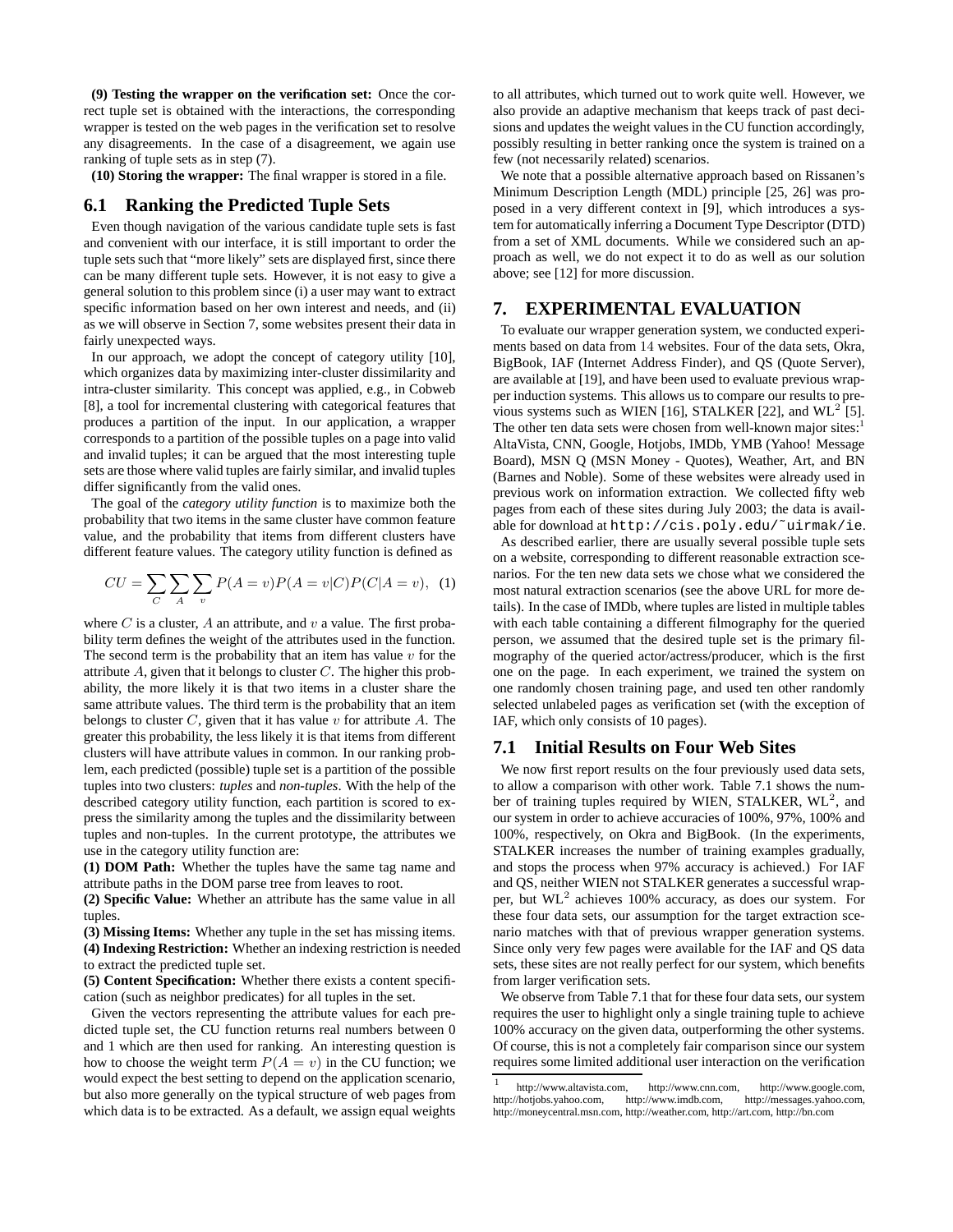**(9) Testing the wrapper on the verification set:** Once the correct tuple set is obtained with the interactions, the corresponding wrapper is tested on the web pages in the verification set to resolve any disagreements. In the case of a disagreement, we again use ranking of tuple sets as in step (7).

**(10) Storing the wrapper:** The final wrapper is stored in a file.

## **6.1 Ranking the Predicted Tuple Sets**

Even though navigation of the various candidate tuple sets is fast and convenient with our interface, it is still important to order the tuple sets such that "more likely" sets are displayed first, since there can be many different tuple sets. However, it is not easy to give a general solution to this problem since (i) a user may want to extract specific information based on her own interest and needs, and (ii) as we will observe in Section 7, some websites present their data in fairly unexpected ways.

In our approach, we adopt the concept of category utility [10], which organizes data by maximizing inter-cluster dissimilarity and intra-cluster similarity. This concept was applied, e.g., in Cobweb [8], a tool for incremental clustering with categorical features that produces a partition of the input. In our application, a wrapper corresponds to a partition of the possible tuples on a page into valid and invalid tuples; it can be argued that the most interesting tuple sets are those where valid tuples are fairly similar, and invalid tuples differ significantly from the valid ones.

The goal of the *category utility function* is to maximize both the probability that two items in the same cluster have common feature value, and the probability that items from different clusters have different feature values. The category utility function is defined as

$$
CU = \sum_{C} \sum_{A} \sum_{v} P(A = v)P(A = v|C)P(C|A = v), \quad (1)
$$

where  $C$  is a cluster,  $A$  an attribute, and  $v$  a value. The first probability term defines the weight of the attributes used in the function. The second term is the probability that an item has value  $v$  for the attribute  $A$ , given that it belongs to cluster  $C$ . The higher this probability, the more likely it is that two items in a cluster share the same attribute values. The third term is the probability that an item belongs to cluster  $C$ , given that it has value  $v$  for attribute  $A$ . The greater this probability, the less likely it is that items from different clusters will have attribute values in common. In our ranking problem, each predicted (possible) tuple set is a partition of the possible tuples into two clusters: *tuples* and *non-tuples*. With the help of the described category utility function, each partition is scored to express the similarity among the tuples and the dissimilarity between tuples and non-tuples. In the current prototype, the attributes we use in the category utility function are:

**(1) DOM Path:** Whether the tuples have the same tag name and attribute paths in the DOM parse tree from leaves to root.

**(2) Specific Value:** Whether an attribute has the same value in all tuples.

**(3) Missing Items:** Whether any tuple in the set has missing items. **(4) Indexing Restriction:** Whether an indexing restriction is needed to extract the predicted tuple set.

**(5) Content Specification:** Whether there exists a content specification (such as neighbor predicates) for all tuples in the set.

Given the vectors representing the attribute values for each predicted tuple set, the CU function returns real numbers between 0 and 1 which are then used for ranking. An interesting question is how to choose the weight term  $P(A = v)$  in the CU function; we would expect the best setting to depend on the application scenario, but also more generally on the typical structure of web pages from which data is to be extracted. As a default, we assign equal weights to all attributes, which turned out to work quite well. However, we also provide an adaptive mechanism that keeps track of past decisions and updates the weight values in the CU function accordingly, possibly resulting in better ranking once the system is trained on a few (not necessarily related) scenarios.

We note that a possible alternative approach based on Rissanen's Minimum Description Length (MDL) principle [25, 26] was proposed in a very different context in [9], which introduces a system for automatically inferring a Document Type Descriptor (DTD) from a set of XML documents. While we considered such an approach as well, we do not expect it to do as well as our solution above; see [12] for more discussion.

# **7. EXPERIMENTAL EVALUATION**

To evaluate our wrapper generation system, we conducted experiments based on data from 14 websites. Four of the data sets, Okra, BigBook, IAF (Internet Address Finder), and QS (Quote Server), are available at [19], and have been used to evaluate previous wrapper induction systems. This allows us to compare our results to previous systems such as WIEN [16], STALKER [22], and WL<sup>2</sup> [5]. The other ten data sets were chosen from well-known major sites:<sup>1</sup> AltaVista, CNN, Google, Hotjobs, IMDb, YMB (Yahoo! Message Board), MSN Q (MSN Money - Quotes), Weather, Art, and BN (Barnes and Noble). Some of these websites were already used in previous work on information extraction. We collected fifty web pages from each of these sites during July 2003; the data is available for download at http://cis.poly.edu/˜uirmak/ie.

As described earlier, there are usually several possible tuple sets on a website, corresponding to different reasonable extraction scenarios. For the ten new data sets we chose what we considered the most natural extraction scenarios (see the above URL for more details). In the case of IMDb, where tuples are listed in multiple tables with each table containing a different filmography for the queried person, we assumed that the desired tuple set is the primary filmography of the queried actor/actress/producer, which is the first one on the page. In each experiment, we trained the system on one randomly chosen training page, and used ten other randomly selected unlabeled pages as verification set (with the exception of IAF, which only consists of 10 pages).

## **7.1 Initial Results on Four Web Sites**

We now first report results on the four previously used data sets, to allow a comparison with other work. Table 7.1 shows the number of training tuples required by WIEN, STALKER,  $WL^2$ , and our system in order to achieve accuracies of 100%, 97%, 100% and 100%, respectively, on Okra and BigBook. (In the experiments, STALKER increases the number of training examples gradually, and stops the process when 97% accuracy is achieved.) For IAF and QS, neither WIEN not STALKER generates a successful wrapper, but  $WL^2$  achieves 100% accuracy, as does our system. For these four data sets, our assumption for the target extraction scenario matches with that of previous wrapper generation systems. Since only very few pages were available for the IAF and QS data sets, these sites are not really perfect for our system, which benefits from larger verification sets.

We observe from Table 7.1 that for these four data sets, our system requires the user to highlight only a single training tuple to achieve 100% accuracy on the given data, outperforming the other systems. Of course, this is not a completely fair comparison since our system requires some limited additional user interaction on the verification

<sup>1</sup> http://www.altavista.com, http://www.cnn.com, http://www.google.com, http://hotjobs.yahoo.com, http://www.imdb.com, http://moneycentral.msn.com, http://weather.com, http://art.com, http://bn.com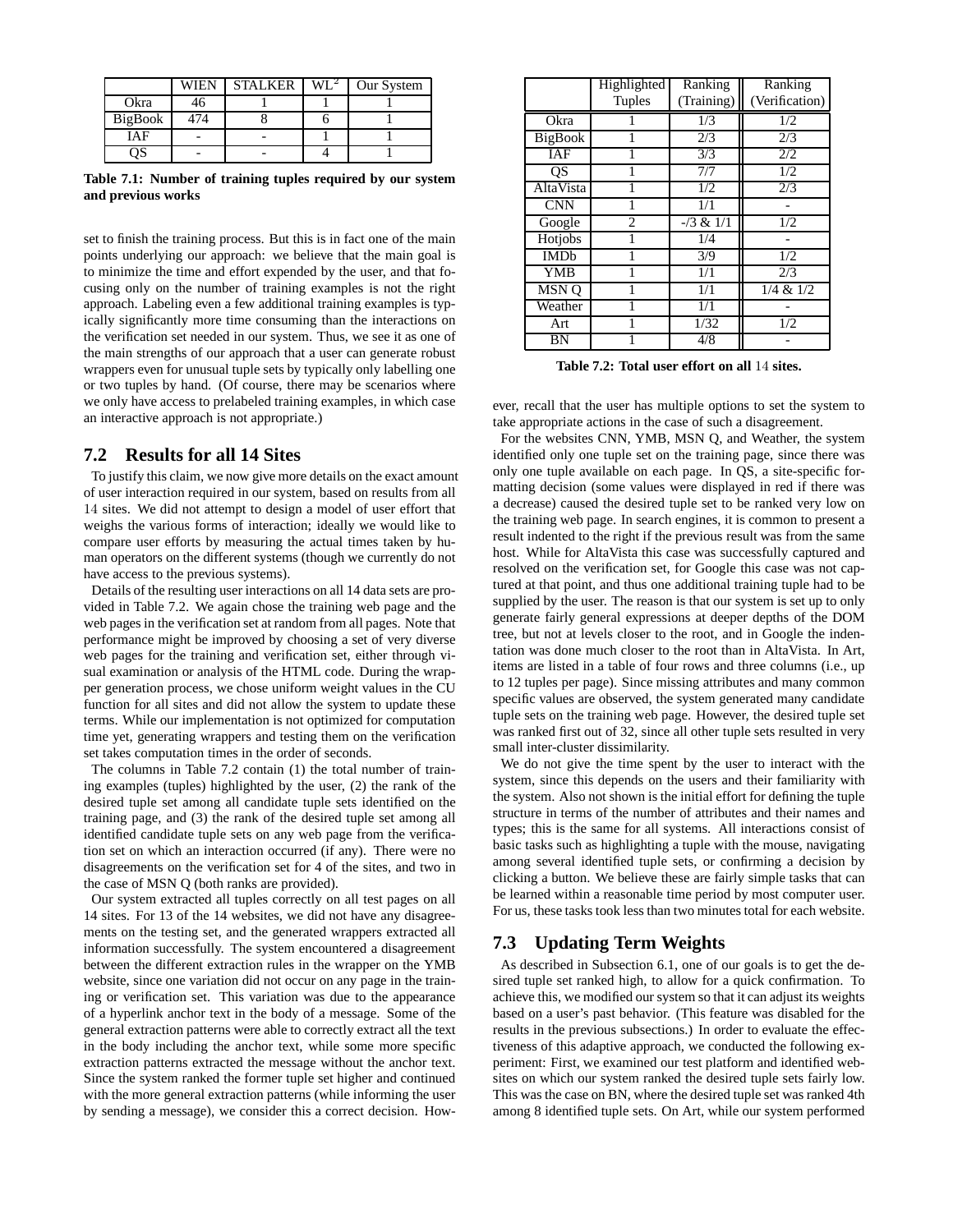|         | <b>WIEN</b> | <b>STALKER</b> | Our System |
|---------|-------------|----------------|------------|
| Okra    | 16          |                |            |
| BigBook | 174         |                |            |
| IAF     |             |                |            |
|         |             |                |            |

**Table 7.1: Number of training tuples required by our system and previous works**

set to finish the training process. But this is in fact one of the main points underlying our approach: we believe that the main goal is to minimize the time and effort expended by the user, and that focusing only on the number of training examples is not the right approach. Labeling even a few additional training examples is typically significantly more time consuming than the interactions on the verification set needed in our system. Thus, we see it as one of the main strengths of our approach that a user can generate robust wrappers even for unusual tuple sets by typically only labelling one or two tuples by hand. (Of course, there may be scenarios where we only have access to prelabeled training examples, in which case an interactive approach is not appropriate.)

#### **7.2 Results for all 14 Sites**

To justify this claim, we now give more details on the exact amount of user interaction required in our system, based on results from all 14 sites. We did not attempt to design a model of user effort that weighs the various forms of interaction; ideally we would like to compare user efforts by measuring the actual times taken by human operators on the different systems (though we currently do not have access to the previous systems).

Details of the resulting user interactions on all 14 data sets are provided in Table 7.2. We again chose the training web page and the web pages in the verification set at random from all pages. Note that performance might be improved by choosing a set of very diverse web pages for the training and verification set, either through visual examination or analysis of the HTML code. During the wrapper generation process, we chose uniform weight values in the CU function for all sites and did not allow the system to update these terms. While our implementation is not optimized for computation time yet, generating wrappers and testing them on the verification set takes computation times in the order of seconds.

The columns in Table 7.2 contain (1) the total number of training examples (tuples) highlighted by the user, (2) the rank of the desired tuple set among all candidate tuple sets identified on the training page, and (3) the rank of the desired tuple set among all identified candidate tuple sets on any web page from the verification set on which an interaction occurred (if any). There were no disagreements on the verification set for 4 of the sites, and two in the case of MSN Q (both ranks are provided).

Our system extracted all tuples correctly on all test pages on all 14 sites. For 13 of the 14 websites, we did not have any disagreements on the testing set, and the generated wrappers extracted all information successfully. The system encountered a disagreement between the different extraction rules in the wrapper on the YMB website, since one variation did not occur on any page in the training or verification set. This variation was due to the appearance of a hyperlink anchor text in the body of a message. Some of the general extraction patterns were able to correctly extract all the text in the body including the anchor text, while some more specific extraction patterns extracted the message without the anchor text. Since the system ranked the former tuple set higher and continued with the more general extraction patterns (while informing the user by sending a message), we consider this a correct decision. How-

|                        | Highlighted    | Ranking     | Ranking        |
|------------------------|----------------|-------------|----------------|
|                        | Tuples         | (Training)  | (Verification) |
| Okra                   |                | 1/3         | 1/2            |
| <b>BigBook</b>         |                | 2/3         | 2/3            |
| <b>IAF</b>             |                | 3/3         | 2/2            |
| QS                     |                | 7/7         | 1/2            |
| AltaVista              |                | 1/2         | 2/3            |
| <b>CNN</b>             |                | 1/1         |                |
| Google                 | $\overline{c}$ | $-13 & 1/1$ | 1/2            |
| Hotjobs                |                | 1/4         |                |
| <b>IMD<sub>b</sub></b> |                | 3/9         | 1/2            |
| <b>YMB</b>             |                | 1/1         | 2/3            |
| <b>MSNQ</b>            |                | 1/1         | 1/4 & 1/2      |
| Weather                |                | 1/1         |                |
| Art                    |                | 1/32        | 1/2            |
| ΒN                     |                | 4/8         |                |

**Table 7.2: Total user effort on all** 14 **sites.**

ever, recall that the user has multiple options to set the system to take appropriate actions in the case of such a disagreement.

For the websites CNN, YMB, MSN Q, and Weather, the system identified only one tuple set on the training page, since there was only one tuple available on each page. In QS, a site-specific formatting decision (some values were displayed in red if there was a decrease) caused the desired tuple set to be ranked very low on the training web page. In search engines, it is common to present a result indented to the right if the previous result was from the same host. While for AltaVista this case was successfully captured and resolved on the verification set, for Google this case was not captured at that point, and thus one additional training tuple had to be supplied by the user. The reason is that our system is set up to only generate fairly general expressions at deeper depths of the DOM tree, but not at levels closer to the root, and in Google the indentation was done much closer to the root than in AltaVista. In Art, items are listed in a table of four rows and three columns (i.e., up to 12 tuples per page). Since missing attributes and many common specific values are observed, the system generated many candidate tuple sets on the training web page. However, the desired tuple set was ranked first out of 32, since all other tuple sets resulted in very small inter-cluster dissimilarity.

We do not give the time spent by the user to interact with the system, since this depends on the users and their familiarity with the system. Also not shown is the initial effort for defining the tuple structure in terms of the number of attributes and their names and types; this is the same for all systems. All interactions consist of basic tasks such as highlighting a tuple with the mouse, navigating among several identified tuple sets, or confirming a decision by clicking a button. We believe these are fairly simple tasks that can be learned within a reasonable time period by most computer user. For us, these tasks took less than two minutes total for each website.

#### **7.3 Updating Term Weights**

As described in Subsection 6.1, one of our goals is to get the desired tuple set ranked high, to allow for a quick confirmation. To achieve this, we modified our system so that it can adjust its weights based on a user's past behavior. (This feature was disabled for the results in the previous subsections.) In order to evaluate the effectiveness of this adaptive approach, we conducted the following experiment: First, we examined our test platform and identified websites on which our system ranked the desired tuple sets fairly low. This was the case on BN, where the desired tuple set was ranked 4th among 8 identified tuple sets. On Art, while our system performed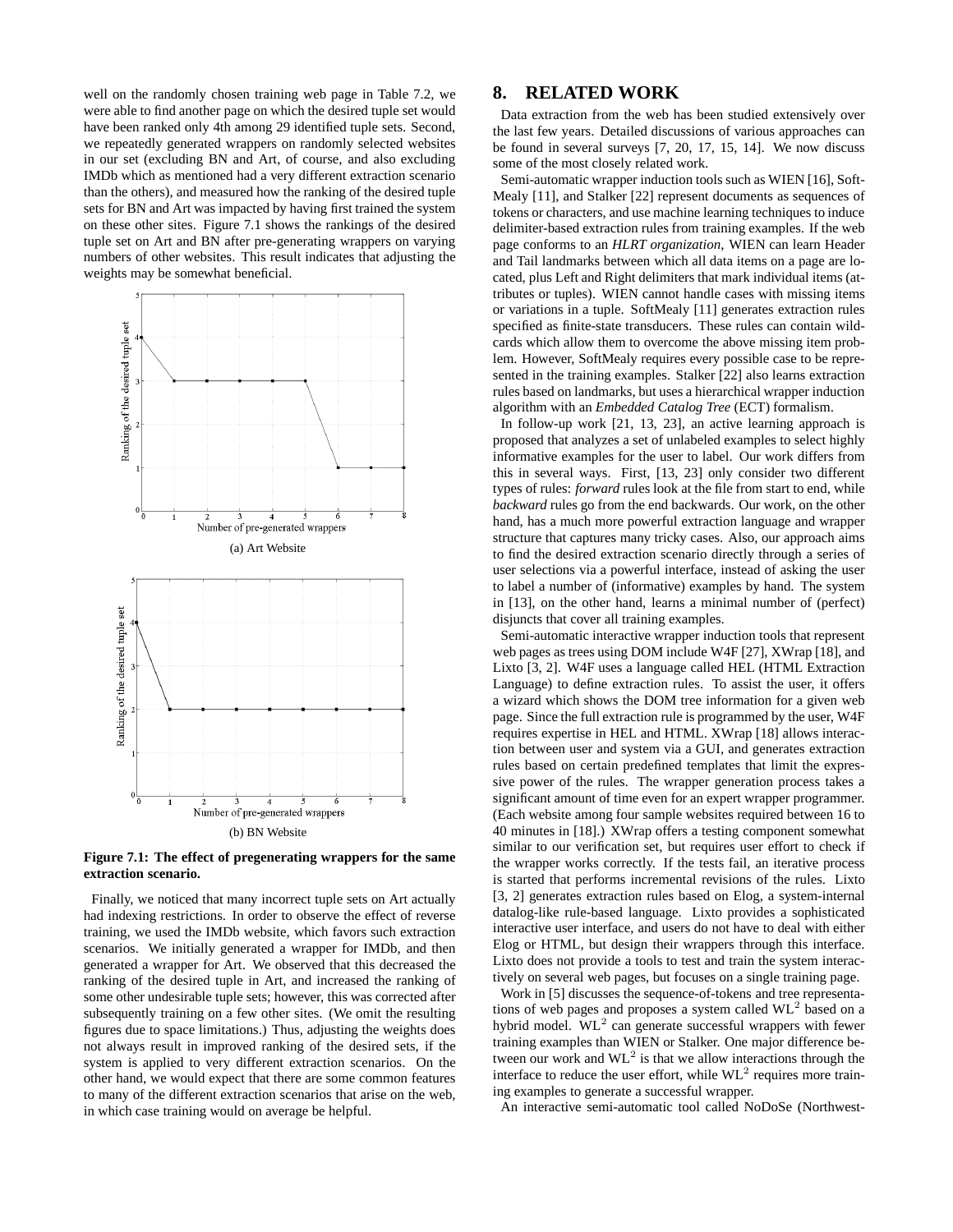well on the randomly chosen training web page in Table 7.2, we were able to find another page on which the desired tuple set would have been ranked only 4th among 29 identified tuple sets. Second, we repeatedly generated wrappers on randomly selected websites in our set (excluding BN and Art, of course, and also excluding IMDb which as mentioned had a very different extraction scenario than the others), and measured how the ranking of the desired tuple sets for BN and Art was impacted by having first trained the system on these other sites. Figure 7.1 shows the rankings of the desired tuple set on Art and BN after pre-generating wrappers on varying numbers of other websites. This result indicates that adjusting the weights may be somewhat beneficial.



**Figure 7.1: The effect of pregenerating wrappers for the same extraction scenario.**

Finally, we noticed that many incorrect tuple sets on Art actually had indexing restrictions. In order to observe the effect of reverse training, we used the IMDb website, which favors such extraction scenarios. We initially generated a wrapper for IMDb, and then generated a wrapper for Art. We observed that this decreased the ranking of the desired tuple in Art, and increased the ranking of some other undesirable tuple sets; however, this was corrected after subsequently training on a few other sites. (We omit the resulting figures due to space limitations.) Thus, adjusting the weights does not always result in improved ranking of the desired sets, if the system is applied to very different extraction scenarios. On the other hand, we would expect that there are some common features to many of the different extraction scenarios that arise on the web, in which case training would on average be helpful.

# **8. RELATED WORK**

Data extraction from the web has been studied extensively over the last few years. Detailed discussions of various approaches can be found in several surveys [7, 20, 17, 15, 14]. We now discuss some of the most closely related work.

Semi-automatic wrapper induction tools such as WIEN [16], Soft-Mealy [11], and Stalker [22] represent documents as sequences of tokens or characters, and use machine learning techniques to induce delimiter-based extraction rules from training examples. If the web page conforms to an *HLRT organization*, WIEN can learn Header and Tail landmarks between which all data items on a page are located, plus Left and Right delimiters that mark individual items (attributes or tuples). WIEN cannot handle cases with missing items or variations in a tuple. SoftMealy [11] generates extraction rules specified as finite-state transducers. These rules can contain wildcards which allow them to overcome the above missing item problem. However, SoftMealy requires every possible case to be represented in the training examples. Stalker [22] also learns extraction rules based on landmarks, but uses a hierarchical wrapper induction algorithm with an *Embedded Catalog Tree* (ECT) formalism.

In follow-up work [21, 13, 23], an active learning approach is proposed that analyzes a set of unlabeled examples to select highly informative examples for the user to label. Our work differs from this in several ways. First, [13, 23] only consider two different types of rules: *forward* rules look at the file from start to end, while *backward* rules go from the end backwards. Our work, on the other hand, has a much more powerful extraction language and wrapper structure that captures many tricky cases. Also, our approach aims to find the desired extraction scenario directly through a series of user selections via a powerful interface, instead of asking the user to label a number of (informative) examples by hand. The system in [13], on the other hand, learns a minimal number of (perfect) disjuncts that cover all training examples.

Semi-automatic interactive wrapper induction tools that represent web pages as trees using DOM include W4F [27], XWrap [18], and Lixto [3, 2]. W4F uses a language called HEL (HTML Extraction Language) to define extraction rules. To assist the user, it offers a wizard which shows the DOM tree information for a given web page. Since the full extraction rule is programmed by the user, W4F requires expertise in HEL and HTML. XWrap [18] allows interaction between user and system via a GUI, and generates extraction rules based on certain predefined templates that limit the expressive power of the rules. The wrapper generation process takes a significant amount of time even for an expert wrapper programmer. (Each website among four sample websites required between 16 to 40 minutes in [18].) XWrap offers a testing component somewhat similar to our verification set, but requires user effort to check if the wrapper works correctly. If the tests fail, an iterative process is started that performs incremental revisions of the rules. Lixto [3, 2] generates extraction rules based on Elog, a system-internal datalog-like rule-based language. Lixto provides a sophisticated interactive user interface, and users do not have to deal with either Elog or HTML, but design their wrappers through this interface. Lixto does not provide a tools to test and train the system interactively on several web pages, but focuses on a single training page.

Work in [5] discusses the sequence-of-tokens and tree representations of web pages and proposes a system called  $WL^2$  based on a hybrid model.  $\overline{WL}^2$  can generate successful wrappers with fewer training examples than WIEN or Stalker. One major difference between our work and  $WL^2$  is that we allow interactions through the interface to reduce the user effort, while  $WL^2$  requires more training examples to generate a successful wrapper.

An interactive semi-automatic tool called NoDoSe (Northwest-